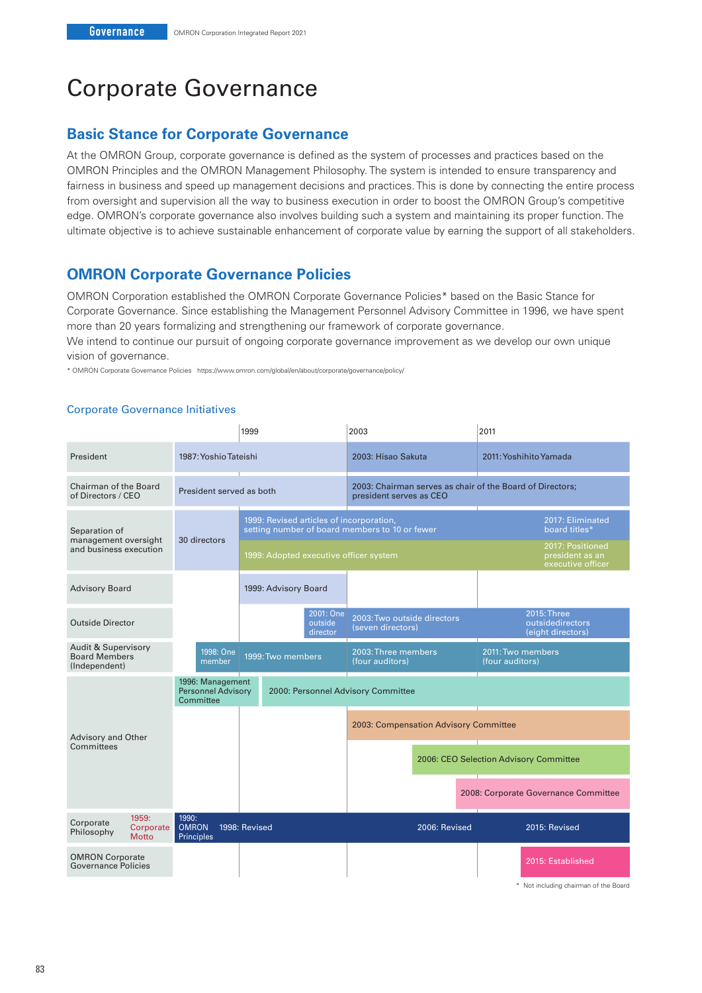# Corporate Governance

# **Basic Stance for Corporate Governance**

At the OMRON Group, corporate governance is defined as the system of processes and practices based on the OMRON Principles and the OMRON Management Philosophy. The system is intended to ensure transparency and fairness in business and speed up management decisions and practices. This is done by connecting the entire process from oversight and supervision all the way to business execution in order to boost the OMRON Group's competitive edge. OMRON's corporate governance also involves building such a system and maintaining its proper function. The ultimate objective is to achieve sustainable enhancement of corporate value by earning the support of all stakeholders.

# **OMRON Corporate Governance Policies**

OMRON Corporation established the OMRON Corporate Governance Policies\* based on the Basic Stance for Corporate Governance. Since establishing the Management Personnel Advisory Committee in 1996, we have spent more than 20 years formalizing and strengthening our framework of corporate governance.

We intend to continue our pursuit of ongoing corporate governance improvement as we develop our own unique vision of governance.

\* OMRON Corporate Governance Policies https://www.omron.com/global/en/about/corporate/governance/policy/

#### Corporate Governance Initiatives

|                                                                         |                                                            | 1999                                                                                       | 2003                                                                                 | 2011                                                     |  |
|-------------------------------------------------------------------------|------------------------------------------------------------|--------------------------------------------------------------------------------------------|--------------------------------------------------------------------------------------|----------------------------------------------------------|--|
| President                                                               | 1987: Yoshio Tateishi                                      |                                                                                            | 2003: Hisao Sakuta                                                                   | 2011: Yoshihito Yamada                                   |  |
| Chairman of the Board<br>of Directors / CEO                             | President served as both                                   |                                                                                            | 2003: Chairman serves as chair of the Board of Directors;<br>president serves as CEO |                                                          |  |
| Separation of<br>management oversight<br>and business execution         | 30 directors                                               | 1999: Revised articles of incorporation,<br>setting number of board members to 10 or fewer |                                                                                      | 2017: Eliminated<br>board titles*                        |  |
|                                                                         |                                                            | 1999: Adopted executive officer system                                                     |                                                                                      | 2017: Positioned<br>president as an<br>executive officer |  |
| <b>Advisory Board</b>                                                   |                                                            | 1999: Advisory Board                                                                       |                                                                                      |                                                          |  |
| <b>Outside Director</b>                                                 |                                                            | 2001: One<br>outside<br>director                                                           | 2003: Two outside directors<br>(seven directors)                                     | 2015: Three<br>outsidedirectors<br>(eight directors)     |  |
| <b>Audit &amp; Supervisory</b><br><b>Board Members</b><br>(Independent) | 1998: One<br>member                                        | 2003: Three members<br>1999: Two members<br>(four auditors)                                |                                                                                      | 2011: Two members<br>(four auditors)                     |  |
|                                                                         | 1996: Management<br><b>Personnel Advisory</b><br>Committee |                                                                                            | 2000: Personnel Advisory Committee                                                   |                                                          |  |
| Advisory and Other                                                      |                                                            |                                                                                            | 2003: Compensation Advisory Committee                                                |                                                          |  |
| Committees                                                              |                                                            |                                                                                            |                                                                                      | 2006: CEO Selection Advisory Committee                   |  |
|                                                                         |                                                            |                                                                                            |                                                                                      | 2008: Corporate Governance Committee                     |  |
| 1959:<br>Corporate<br>Corporate<br>Philosophy<br><b>Motto</b>           | 1990:<br><b>OMRON</b><br><b>Principles</b>                 | 1998: Revised                                                                              | 2006: Revised                                                                        | 2015: Revised                                            |  |
| <b>OMRON Corporate</b><br>Governance Policies                           |                                                            |                                                                                            |                                                                                      | 2015: Established                                        |  |

\* Not including chairman of the Board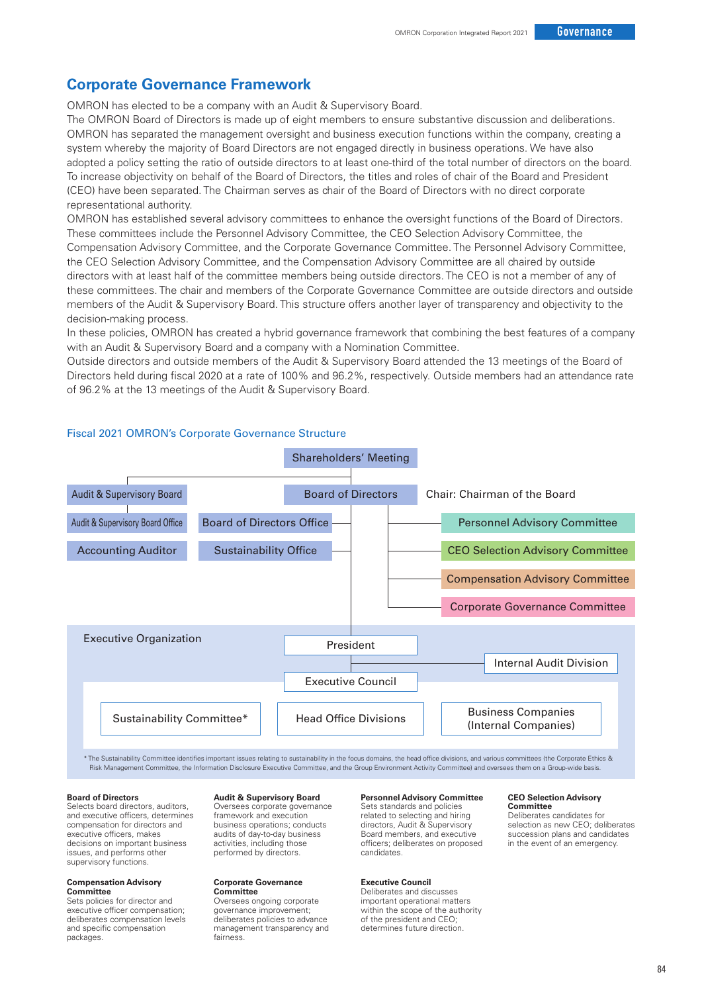## **Corporate Governance Framework**

OMRON has elected to be a company with an Audit & Supervisory Board.

The OMRON Board of Directors is made up of eight members to ensure substantive discussion and deliberations. OMRON has separated the management oversight and business execution functions within the company, creating a system whereby the majority of Board Directors are not engaged directly in business operations. We have also adopted a policy setting the ratio of outside directors to at least one-third of the total number of directors on the board. To increase objectivity on behalf of the Board of Directors, the titles and roles of chair of the Board and President (CEO) have been separated. The Chairman serves as chair of the Board of Directors with no direct corporate representational authority.

OMRON has established several advisory committees to enhance the oversight functions of the Board of Directors. These committees include the Personnel Advisory Committee, the CEO Selection Advisory Committee, the Compensation Advisory Committee, and the Corporate Governance Committee. The Personnel Advisory Committee, the CEO Selection Advisory Committee, and the Compensation Advisory Committee are all chaired by outside directors with at least half of the committee members being outside directors. The CEO is not a member of any of these committees. The chair and members of the Corporate Governance Committee are outside directors and outside members of the Audit & Supervisory Board. This structure offers another layer of transparency and objectivity to the decision-making process.

In these policies, OMRON has created a hybrid governance framework that combining the best features of a company with an Audit & Supervisory Board and a company with a Nomination Committee.

Outside directors and outside members of the Audit & Supervisory Board attended the 13 meetings of the Board of Directors held during fiscal 2020 at a rate of 100% and 96.2%, respectively. Outside members had an attendance rate of 96.2% at the 13 meetings of the Audit & Supervisory Board.



## Fiscal 2021 OMRON's Corporate Governance Structure

\* The Sustainability Committee identifies important issues relating to sustainability in the focus domains, the head office divisions, and various committees (the Corporate Ethics & Risk Management Committee, the Information Disclosure Executive Committee, and the Group Environment Activity Committee) and oversees them on a Group-wide basis

#### **Board of Directors**

Selects board directors, auditors, and executive officers, determines compensation for directors and executive officers, makes decisions on important business issues, and performs other supervisory functions.

#### **Compensation Advisory Committee**

Sets policies for director and executive officer compensation; deliberates compensation levels and specific compensation packages.

#### **Audit & Supervisory Board**

Oversees corporate governance framework and execution business operations; conducts audits of day-to-day business activities, including those performed by directors.

#### **Corporate Governance Committee**

Oversees ongoing corporate governance improvement; deliberates policies to advance management transparency and fairness.

#### **Personnel Advisory Committee**

Sets standards and policies related to selecting and hiring directors, Audit & Supervisory Board members, and executive officers; deliberates on proposed candidates.

#### **Executive Council**

Deliberates and discusses important operational matters within the scope of the authority of the president and CEO; determines future direction.

#### **CEO Selection Advisory Committee**

Deliberates candidates for selection as new CEO; deliberates succession plans and candidates in the event of an emergency.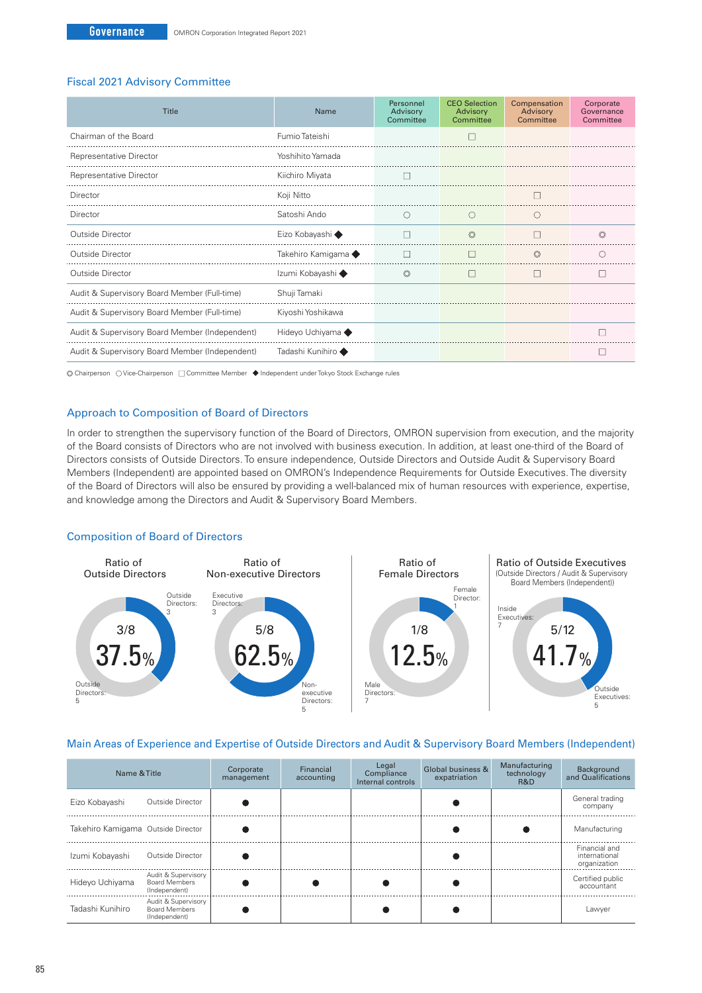#### Fiscal 2021 Advisory Committee

| Title                                          | Name                | Personnel<br>Advisory<br>Committee | <b>CEO</b> Selection<br>Advisory<br>Committee | Compensation<br>Advisory<br>Committee | Corporate<br>Governance<br>Committee |
|------------------------------------------------|---------------------|------------------------------------|-----------------------------------------------|---------------------------------------|--------------------------------------|
| Chairman of the Board                          | Fumio Tateishi      |                                    |                                               |                                       |                                      |
| Representative Director                        | Yoshihito Yamada    |                                    |                                               |                                       |                                      |
| Representative Director                        | Kiichiro Miyata     |                                    |                                               |                                       |                                      |
| Director                                       | Koji Nitto          |                                    |                                               |                                       |                                      |
| Director                                       | Satoshi Ando        | C                                  |                                               |                                       |                                      |
| Outside Director                               | Eizo Kobayashi ◆    |                                    | $\circledcirc$                                |                                       | $\circledcirc$                       |
| Outside Director                               | Takehiro Kamigama ◆ | г                                  |                                               | $\circledcirc$                        | ∩                                    |
| Outside Director                               | Izumi Kobayashi ◆   | $\circledcirc$                     | $\mathbf{L}$                                  | $\Box$                                | ш                                    |
| Audit & Supervisory Board Member (Full-time)   | Shuji Tamaki        |                                    |                                               |                                       |                                      |
| Audit & Supervisory Board Member (Full-time)   | Kiyoshi Yoshikawa   |                                    |                                               |                                       |                                      |
| Audit & Supervisory Board Member (Independent) | Hideyo Uchiyama ◆   |                                    |                                               |                                       |                                      |
| Audit & Supervisory Board Member (Independent) | Tadashi Kunihiro ◆  |                                    |                                               |                                       |                                      |

© Chairperson OVice-Chairperson □ Committee Member ◆ Independent under Tokyo Stock Exchange rules

#### Approach to Composition of Board of Directors

In order to strengthen the supervisory function of the Board of Directors, OMRON supervision from execution, and the majority of the Board consists of Directors who are not involved with business execution. In addition, at least one-third of the Board of Directors consists of Outside Directors. To ensure independence, Outside Directors and Outside Audit & Supervisory Board Members (Independent) are appointed based on OMRON's Independence Requirements for Outside Executives. The diversity of the Board of Directors will also be ensured by providing a well-balanced mix of human resources with experience, expertise, and knowledge among the Directors and Audit & Supervisory Board Members.

#### Composition of Board of Directors



## Main Areas of Experience and Expertise of Outside Directors and Audit & Supervisory Board Members (Independent)

| Name & Title                       |                                                              | Corporate<br>management | Financial<br>accounting | Legal<br>Compliance<br>Internal controls | Global business &<br>expatriation | Manufacturing<br>technology<br>R&D | Background<br>and Qualifications               |
|------------------------------------|--------------------------------------------------------------|-------------------------|-------------------------|------------------------------------------|-----------------------------------|------------------------------------|------------------------------------------------|
| Eizo Kobayashi                     | Outside Director                                             |                         |                         |                                          |                                   |                                    | General trading<br>company                     |
| Takehiro Kamigama Outside Director |                                                              |                         |                         |                                          |                                   |                                    | Manufacturing                                  |
| Izumi Kobayashi                    | Outside Director                                             |                         |                         |                                          |                                   |                                    | Financial and<br>international<br>organization |
| Hideyo Uchiyama                    | Audit & Supervisory<br><b>Board Members</b><br>(Independent) |                         |                         |                                          |                                   |                                    | Certified public<br>accountant                 |
| Tadashi Kunihiro                   | Audit & Supervisory<br><b>Board Members</b><br>(Independent) |                         |                         |                                          |                                   |                                    | Lawyer                                         |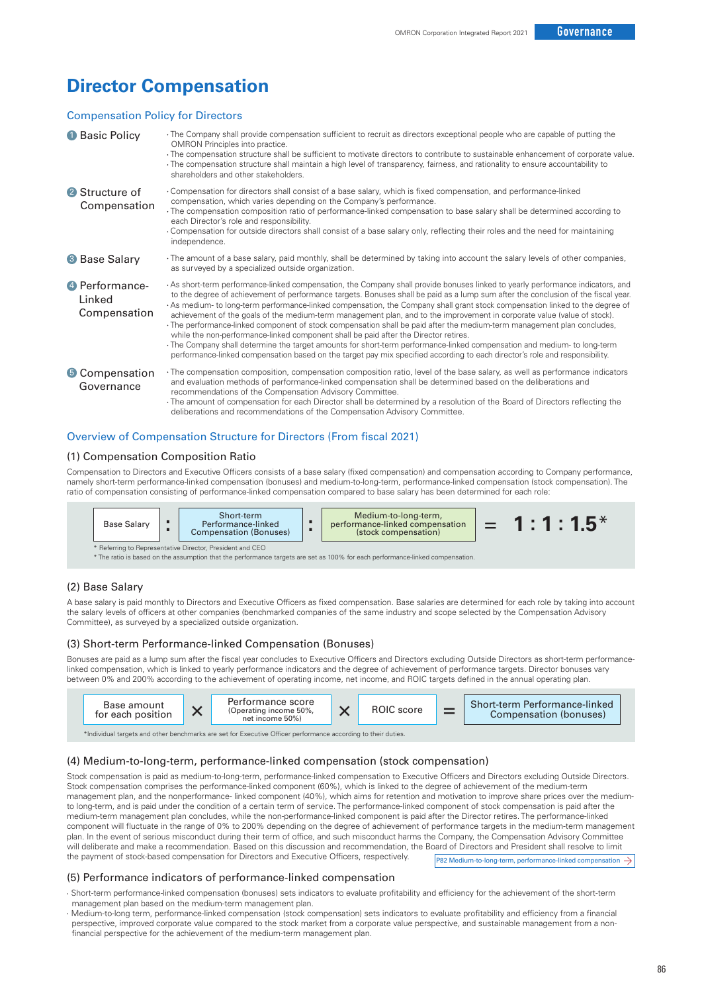# **Director Compensation**

#### Compensation Policy for Directors

| <b>Basic Policy</b>                       | The Company shall provide compensation sufficient to recruit as directors exceptional people who are capable of putting the<br><b>OMRON</b> Principles into practice.<br>. The compensation structure shall be sufficient to motivate directors to contribute to sustainable enhancement of corporate value.<br>The compensation structure shall maintain a high level of transparency, fairness, and rationality to ensure accountability to<br>shareholders and other stakeholders.                                                                                                                                                                                                                                                                                                                                                                                                                                                                                                                    |
|-------------------------------------------|----------------------------------------------------------------------------------------------------------------------------------------------------------------------------------------------------------------------------------------------------------------------------------------------------------------------------------------------------------------------------------------------------------------------------------------------------------------------------------------------------------------------------------------------------------------------------------------------------------------------------------------------------------------------------------------------------------------------------------------------------------------------------------------------------------------------------------------------------------------------------------------------------------------------------------------------------------------------------------------------------------|
| <sup>2</sup> Structure of<br>Compensation | Compensation for directors shall consist of a base salary, which is fixed compensation, and performance-linked<br>compensation, which varies depending on the Company's performance.<br>· The compensation composition ratio of performance-linked compensation to base salary shall be determined according to<br>each Director's role and responsibility.<br>Compensation for outside directors shall consist of a base salary only, reflecting their roles and the need for maintaining<br>independence.                                                                                                                                                                                                                                                                                                                                                                                                                                                                                              |
| <b>8</b> Base Salary                      | The amount of a base salary, paid monthly, shall be determined by taking into account the salary levels of other companies,<br>as surveyed by a specialized outside organization.                                                                                                                                                                                                                                                                                                                                                                                                                                                                                                                                                                                                                                                                                                                                                                                                                        |
| 4 Performance-<br>Linked<br>Compensation  | As short-term performance-linked compensation, the Company shall provide bonuses linked to yearly performance indicators, and<br>to the degree of achievement of performance targets. Bonuses shall be paid as a lump sum after the conclusion of the fiscal year.<br>As medium-to long-term performance-linked compensation, the Company shall grant stock compensation linked to the degree of<br>achievement of the goals of the medium-term management plan, and to the improvement in corporate value (value of stock).<br>· The performance-linked component of stock compensation shall be paid after the medium-term management plan concludes,<br>while the non-performance-linked component shall be paid after the Director retires.<br>The Company shall determine the target amounts for short-term performance-linked compensation and medium- to long-term<br>performance-linked compensation based on the target pay mix specified according to each director's role and responsibility. |
| <b>6</b> Compensation<br>Governance       | The compensation composition, compensation composition ratio, level of the base salary, as well as performance indicators<br>and evaluation methods of performance-linked compensation shall be determined based on the deliberations and<br>recommendations of the Compensation Advisory Committee.<br>The amount of compensation for each Director shall be determined by a resolution of the Board of Directors reflecting the<br>deliberations and recommendations of the Compensation Advisory Committee.                                                                                                                                                                                                                                                                                                                                                                                                                                                                                           |

#### Overview of Compensation Structure for Directors (From fiscal 2021)

#### (1) Compensation Composition Ratio

Compensation to Directors and Executive Officers consists of a base salary (fixed compensation) and compensation according to Company performance, namely short-term performance-linked compensation (bonuses) and medium-to-long-term, performance-linked compensation (stock compensation). The ratio of compensation consisting of performance-linked compensation compared to base salary has been determined for each role:



\* The ratio is based on the assumption that the performance targets are set as 100% for each performance-linked compensation.

#### (2) Base Salary

A base salary is paid monthly to Directors and Executive Officers as fixed compensation. Base salaries are determined for each role by taking into account the salary levels of officers at other companies (benchmarked companies of the same industry and scope selected by the Compensation Advisory Committee), as surveyed by a specialized outside organization.

#### (3) Short-term Performance-linked Compensation (Bonuses)

Bonuses are paid as a lump sum after the fiscal year concludes to Executive Officers and Directors excluding Outside Directors as short-term performancelinked compensation, which is linked to yearly performance indicators and the degree of achievement of performance targets. Director bonuses vary between 0% and 200% according to the achievement of operating income, net income, and ROIC targets defined in the annual operating plan.



#### (4) Medium-to-long-term, performance-linked compensation (stock compensation)

P82 Medium-to-long-term, performance-linked compensation  $\rightarrow$ Stock compensation is paid as medium-to-long-term, performance-linked compensation to Executive Officers and Directors excluding Outside Directors. Stock compensation comprises the performance-linked component (60%), which is linked to the degree of achievement of the medium-term management plan, and the nonperformance- linked component (40%), which aims for retention and motivation to improve share prices over the mediumto long-term, and is paid under the condition of a certain term of service. The performance-linked component of stock compensation is paid after the medium-term management plan concludes, while the non-performance-linked component is paid after the Director retires. The performance-linked component will fluctuate in the range of 0% to 200% depending on the degree of achievement of performance targets in the medium-term management plan. In the event of serious misconduct during their term of office, and such misconduct harms the Company, the Compensation Advisory Committee will deliberate and make a recommendation. Based on this discussion and recommendation, the Board of Directors and President shall resolve to limit the payment of stock-based compensation for Directors and Executive Officers, respectively.

#### (5) Performance indicators of performance-linked compensation

- Short-term performance-linked compensation (bonuses) sets indicators to evaluate profitability and efficiency for the achievement of the short-term management plan based on the medium-term management plan.
- Medium-to-long term, performance-linked compensation (stock compensation) sets indicators to evaluate profitability and efficiency from a financial perspective, improved corporate value compared to the stock market from a corporate value perspective, and sustainable management from a nonfinancial perspective for the achievement of the medium-term management plan.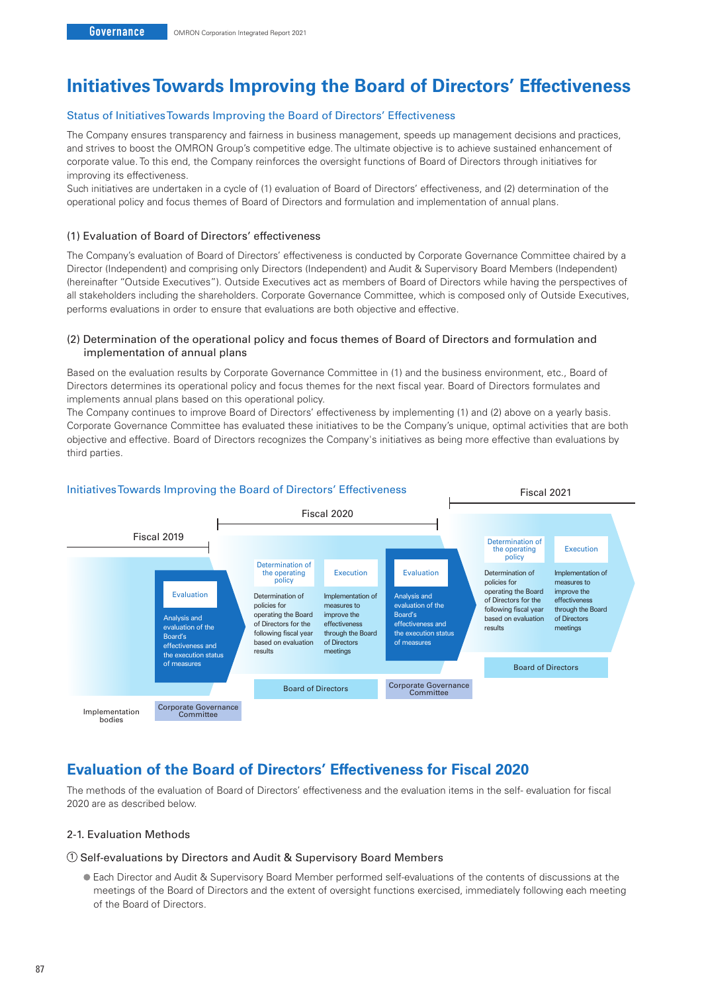# **Initiatives Towards Improving the Board of Directors' Effectiveness**

#### Status of Initiatives Towards Improving the Board of Directors' Effectiveness

The Company ensures transparency and fairness in business management, speeds up management decisions and practices, and strives to boost the OMRON Group's competitive edge. The ultimate objective is to achieve sustained enhancement of corporate value. To this end, the Company reinforces the oversight functions of Board of Directors through initiatives for improving its effectiveness.

Such initiatives are undertaken in a cycle of (1) evaluation of Board of Directors' effectiveness, and (2) determination of the operational policy and focus themes of Board of Directors and formulation and implementation of annual plans.

#### (1) Evaluation of Board of Directors' effectiveness

The Company's evaluation of Board of Directors' effectiveness is conducted by Corporate Governance Committee chaired by a Director (Independent) and comprising only Directors (Independent) and Audit & Supervisory Board Members (Independent) (hereinafter "Outside Executives"). Outside Executives act as members of Board of Directors while having the perspectives of all stakeholders including the shareholders. Corporate Governance Committee, which is composed only of Outside Executives, performs evaluations in order to ensure that evaluations are both objective and effective.

#### (2) Determination of the operational policy and focus themes of Board of Directors and formulation and implementation of annual plans

Based on the evaluation results by Corporate Governance Committee in (1) and the business environment, etc., Board of Directors determines its operational policy and focus themes for the next fiscal year. Board of Directors formulates and implements annual plans based on this operational policy.

The Company continues to improve Board of Directors' effectiveness by implementing (1) and (2) above on a yearly basis. Corporate Governance Committee has evaluated these initiatives to be the Company's unique, optimal activities that are both objective and effective. Board of Directors recognizes the Company's initiatives as being more effective than evaluations by third parties.



# **Evaluation of the Board of Directors' Effectiveness for Fiscal 2020**

The methods of the evaluation of Board of Directors' effectiveness and the evaluation items in the self- evaluation for fiscal 2020 are as described below.

## 2-1. Evaluation Methods

#### 1 Self-evaluations by Directors and Audit & Supervisory Board Members

 Each Director and Audit & Supervisory Board Member performed self-evaluations of the contents of discussions at the meetings of the Board of Directors and the extent of oversight functions exercised, immediately following each meeting of the Board of Directors.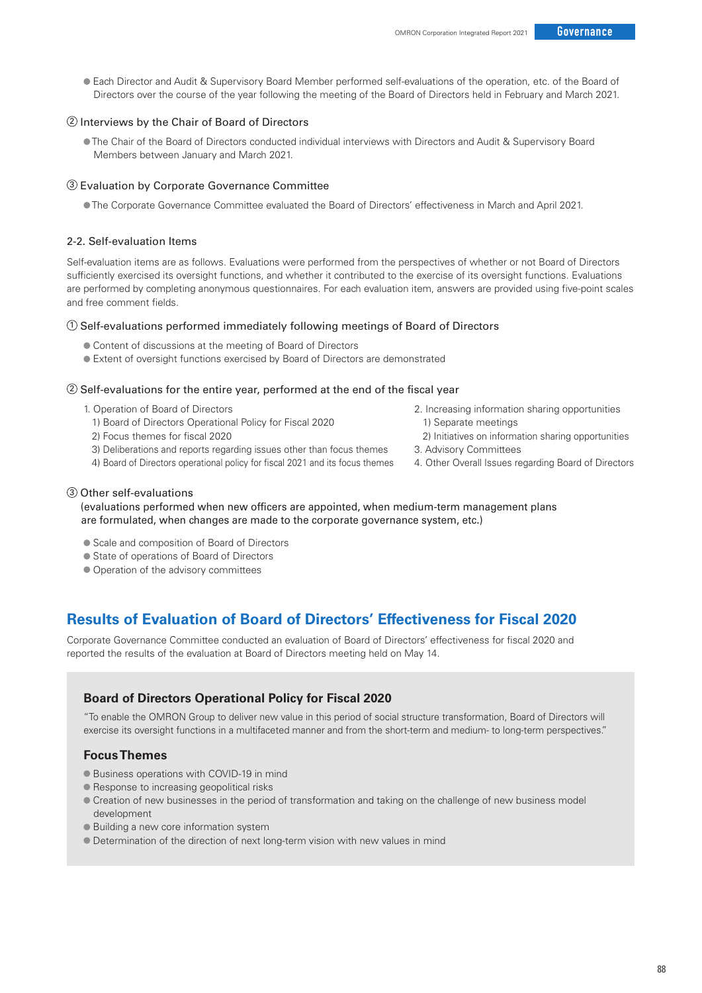Each Director and Audit & Supervisory Board Member performed self-evaluations of the operation, etc. of the Board of Directors over the course of the year following the meeting of the Board of Directors held in February and March 2021.

## 2 Interviews by the Chair of Board of Directors

 The Chair of the Board of Directors conducted individual interviews with Directors and Audit & Supervisory Board Members between January and March 2021.

#### 3 Evaluation by Corporate Governance Committee

The Corporate Governance Committee evaluated the Board of Directors' effectiveness in March and April 2021.

#### 2-2. Self-evaluation Items

Self-evaluation items are as follows. Evaluations were performed from the perspectives of whether or not Board of Directors sufficiently exercised its oversight functions, and whether it contributed to the exercise of its oversight functions. Evaluations are performed by completing anonymous questionnaires. For each evaluation item, answers are provided using five-point scales and free comment fields.

#### 1 Self-evaluations performed immediately following meetings of Board of Directors

- Content of discussions at the meeting of Board of Directors
- Extent of oversight functions exercised by Board of Directors are demonstrated

#### 2 Self-evaluations for the entire year, performed at the end of the fiscal year

- 1. Operation of Board of Directors
	- 1) Board of Directors Operational Policy for Fiscal 2020
	- 2) Focus themes for fiscal 2020
- 3) Deliberations and reports regarding issues other than focus themes
- 4) Board of Directors operational policy for fiscal 2021 and its focus themes
- 2. Increasing information sharing opportunities
- 1) Separate meetings
- 2) Initiatives on information sharing opportunities
- 3. Advisory Committees
- 4. Other Overall Issues regarding Board of Directors

## 3 Other self-evaluations

 (evaluations performed when new officers are appointed, when medium-term management plans are formulated, when changes are made to the corporate governance system, etc.)

- Scale and composition of Board of Directors
- State of operations of Board of Directors
- $\bullet$  Operation of the advisory committees

# **Results of Evaluation of Board of Directors' Effectiveness for Fiscal 2020**

Corporate Governance Committee conducted an evaluation of Board of Directors' effectiveness for fiscal 2020 and reported the results of the evaluation at Board of Directors meeting held on May 14.

## **Board of Directors Operational Policy for Fiscal 2020**

"To enable the OMRON Group to deliver new value in this period of social structure transformation, Board of Directors will exercise its oversight functions in a multifaceted manner and from the short-term and medium- to long-term perspectives."

## **Focus Themes**

- Business operations with COVID-19 in mind
- **Response to increasing geopolitical risks**
- Creation of new businesses in the period of transformation and taking on the challenge of new business model development
- Building a new core information system
- Determination of the direction of next long-term vision with new values in mind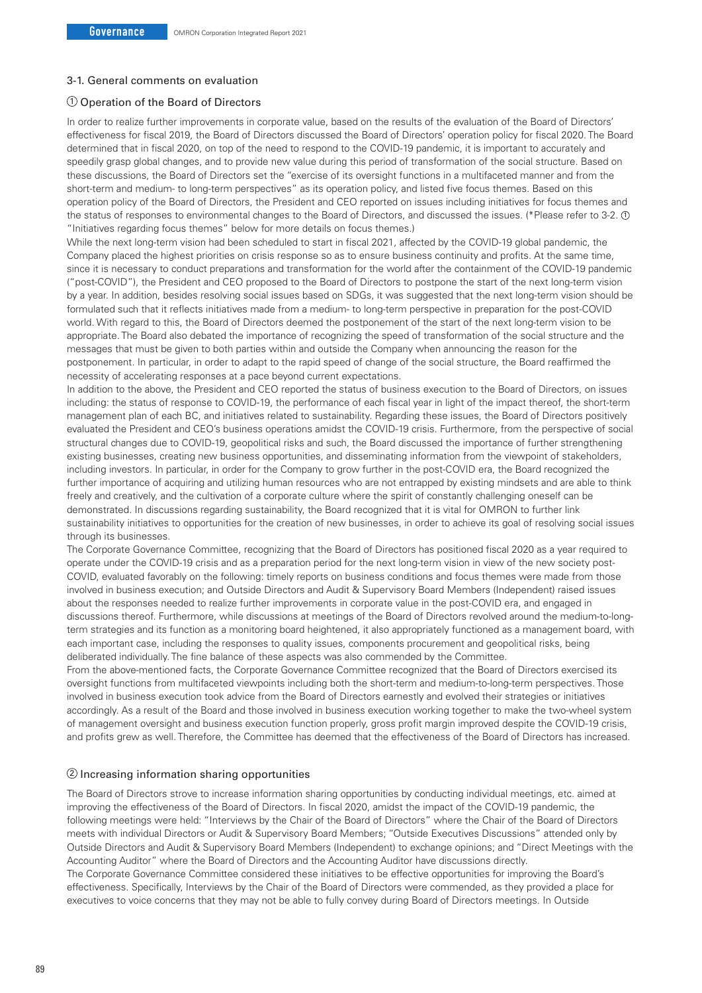#### 3-1. General comments on evaluation

#### 1 Operation of the Board of Directors

In order to realize further improvements in corporate value, based on the results of the evaluation of the Board of Directors' effectiveness for fiscal 2019, the Board of Directors discussed the Board of Directors' operation policy for fiscal 2020. The Board determined that in fiscal 2020, on top of the need to respond to the COVID-19 pandemic, it is important to accurately and speedily grasp global changes, and to provide new value during this period of transformation of the social structure. Based on these discussions, the Board of Directors set the "exercise of its oversight functions in a multifaceted manner and from the short-term and medium- to long-term perspectives" as its operation policy, and listed five focus themes. Based on this operation policy of the Board of Directors, the President and CEO reported on issues including initiatives for focus themes and the status of responses to environmental changes to the Board of Directors, and discussed the issues. (\*Please refer to 3-2. 10) "Initiatives regarding focus themes" below for more details on focus themes.)

While the next long-term vision had been scheduled to start in fiscal 2021, affected by the COVID-19 global pandemic, the Company placed the highest priorities on crisis response so as to ensure business continuity and profits. At the same time, since it is necessary to conduct preparations and transformation for the world after the containment of the COVID-19 pandemic ("post-COVID"), the President and CEO proposed to the Board of Directors to postpone the start of the next long-term vision by a year. In addition, besides resolving social issues based on SDGs, it was suggested that the next long-term vision should be formulated such that it reflects initiatives made from a medium- to long-term perspective in preparation for the post-COVID world. With regard to this, the Board of Directors deemed the postponement of the start of the next long-term vision to be appropriate. The Board also debated the importance of recognizing the speed of transformation of the social structure and the messages that must be given to both parties within and outside the Company when announcing the reason for the postponement. In particular, in order to adapt to the rapid speed of change of the social structure, the Board reaffirmed the necessity of accelerating responses at a pace beyond current expectations.

In addition to the above, the President and CEO reported the status of business execution to the Board of Directors, on issues including: the status of response to COVID-19, the performance of each fiscal year in light of the impact thereof, the short-term management plan of each BC, and initiatives related to sustainability. Regarding these issues, the Board of Directors positively evaluated the President and CEO's business operations amidst the COVID-19 crisis. Furthermore, from the perspective of social structural changes due to COVID-19, geopolitical risks and such, the Board discussed the importance of further strengthening existing businesses, creating new business opportunities, and disseminating information from the viewpoint of stakeholders, including investors. In particular, in order for the Company to grow further in the post-COVID era, the Board recognized the further importance of acquiring and utilizing human resources who are not entrapped by existing mindsets and are able to think freely and creatively, and the cultivation of a corporate culture where the spirit of constantly challenging oneself can be demonstrated. In discussions regarding sustainability, the Board recognized that it is vital for OMRON to further link sustainability initiatives to opportunities for the creation of new businesses, in order to achieve its goal of resolving social issues through its businesses.

The Corporate Governance Committee, recognizing that the Board of Directors has positioned fiscal 2020 as a year required to operate under the COVID-19 crisis and as a preparation period for the next long-term vision in view of the new society post-COVID, evaluated favorably on the following: timely reports on business conditions and focus themes were made from those involved in business execution; and Outside Directors and Audit & Supervisory Board Members (Independent) raised issues about the responses needed to realize further improvements in corporate value in the post-COVID era, and engaged in discussions thereof. Furthermore, while discussions at meetings of the Board of Directors revolved around the medium-to-longterm strategies and its function as a monitoring board heightened, it also appropriately functioned as a management board, with each important case, including the responses to quality issues, components procurement and geopolitical risks, being deliberated individually. The fine balance of these aspects was also commended by the Committee.

From the above-mentioned facts, the Corporate Governance Committee recognized that the Board of Directors exercised its oversight functions from multifaceted viewpoints including both the short-term and medium-to-long-term perspectives. Those involved in business execution took advice from the Board of Directors earnestly and evolved their strategies or initiatives accordingly. As a result of the Board and those involved in business execution working together to make the two-wheel system of management oversight and business execution function properly, gross profit margin improved despite the COVID-19 crisis, and profits grew as well. Therefore, the Committee has deemed that the effectiveness of the Board of Directors has increased.

#### 2 Increasing information sharing opportunities

The Board of Directors strove to increase information sharing opportunities by conducting individual meetings, etc. aimed at improving the effectiveness of the Board of Directors. In fiscal 2020, amidst the impact of the COVID-19 pandemic, the following meetings were held: "Interviews by the Chair of the Board of Directors" where the Chair of the Board of Directors meets with individual Directors or Audit & Supervisory Board Members; "Outside Executives Discussions" attended only by Outside Directors and Audit & Supervisory Board Members (Independent) to exchange opinions; and "Direct Meetings with the Accounting Auditor" where the Board of Directors and the Accounting Auditor have discussions directly. The Corporate Governance Committee considered these initiatives to be effective opportunities for improving the Board's

effectiveness. Specifically, Interviews by the Chair of the Board of Directors were commended, as they provided a place for executives to voice concerns that they may not be able to fully convey during Board of Directors meetings. In Outside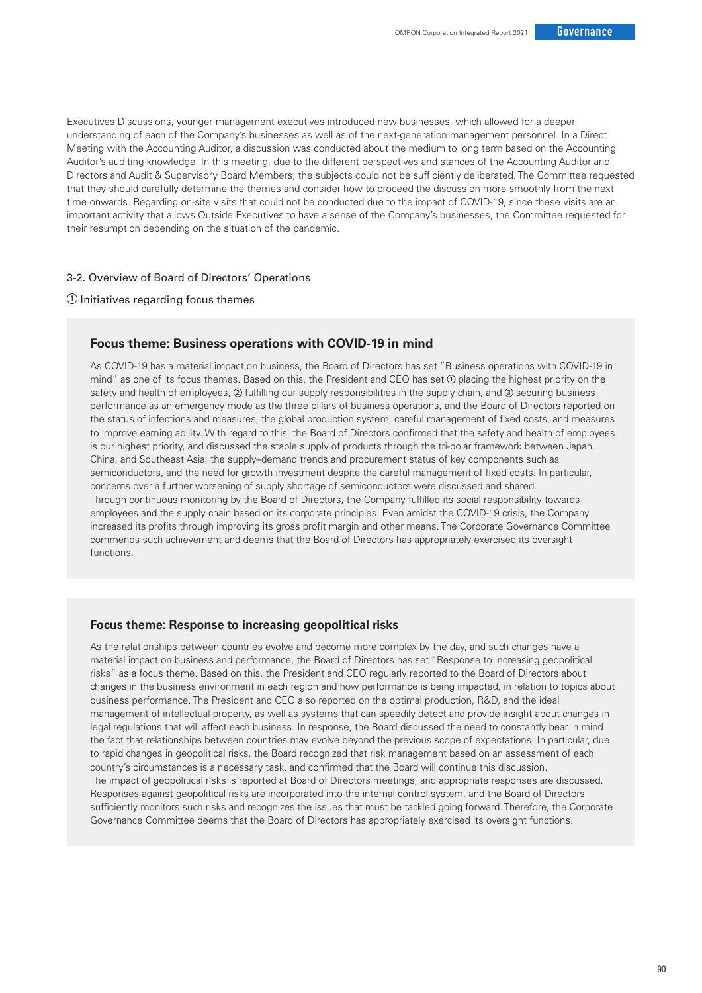Executives Discussions, younger management executives introduced new businesses, which allowed for a deeper understanding of each of the Company's businesses as well as of the next-generation management personnel. In a Direct Meeting with the Accounting Auditor, a discussion was conducted about the medium to long term based on the Accounting Auditor's auditing knowledge. In this meeting, due to the different perspectives and stances of the Accounting Auditor and Directors and Audit & Supervisory Board Members, the subjects could not be sufficiently deliberated. The Committee requested that they should carefully determine the themes and consider how to proceed the discussion more smoothly from the next time onwards. Regarding on-site visits that could not be conducted due to the impact of COVID-19, since these visits are an important activity that allows Outside Executives to have a sense of the Company's businesses, the Committee requested for their resumption depending on the situation of the pandemic.

## 3-2. Overview of Board of Directors' Operations

## $0$  Initiatives regarding focus themes

## **Focus theme: Business operations with COVID-19 in mind**

As COVID-19 has a material impact on business, the Board of Directors has set "Business operations with COVID-19 in mind" as one of its focus themes. Based on this, the President and CEO has set  $\Phi$  placing the highest priority on the safety and health of employees,  $\oslash$  fulfilling our supply responsibilities in the supply chain, and  $\oslash$  securing business performance as an emergency mode as the three pillars of business operations, and the Board of Directors reported on the status of infections and measures, the global production system, careful management of fixed costs, and measures to improve earning ability. With regard to this, the Board of Directors confirmed that the safety and health of employees is our highest priority, and discussed the stable supply of products through the tri-polar framework between Japan, China, and Southeast Asia, the supply–demand trends and procurement status of key components such as semiconductors, and the need for growth investment despite the careful management of fixed costs. In particular, concerns over a further worsening of supply shortage of semiconductors were discussed and shared. Through continuous monitoring by the Board of Directors, the Company fulfilled its social responsibility towards employees and the supply chain based on its corporate principles. Even amidst the COVID-19 crisis, the Company increased its profits through improving its gross profit margin and other means. The Corporate Governance Committee commends such achievement and deems that the Board of Directors has appropriately exercised its oversight functions.

## **Focus theme: Response to increasing geopolitical risks**

As the relationships between countries evolve and become more complex by the day, and such changes have a material impact on business and performance, the Board of Directors has set "Response to increasing geopolitical risks" as a focus theme. Based on this, the President and CEO regularly reported to the Board of Directors about changes in the business environment in each region and how performance is being impacted, in relation to topics about business performance. The President and CEO also reported on the optimal production, R&D, and the ideal management of intellectual property, as well as systems that can speedily detect and provide insight about changes in legal regulations that will affect each business. In response, the Board discussed the need to constantly bear in mind the fact that relationships between countries may evolve beyond the previous scope of expectations. In particular, due to rapid changes in geopolitical risks, the Board recognized that risk management based on an assessment of each country's circumstances is a necessary task, and confirmed that the Board will continue this discussion. The impact of geopolitical risks is reported at Board of Directors meetings, and appropriate responses are discussed. Responses against geopolitical risks are incorporated into the internal control system, and the Board of Directors sufficiently monitors such risks and recognizes the issues that must be tackled going forward. Therefore, the Corporate Governance Committee deems that the Board of Directors has appropriately exercised its oversight functions.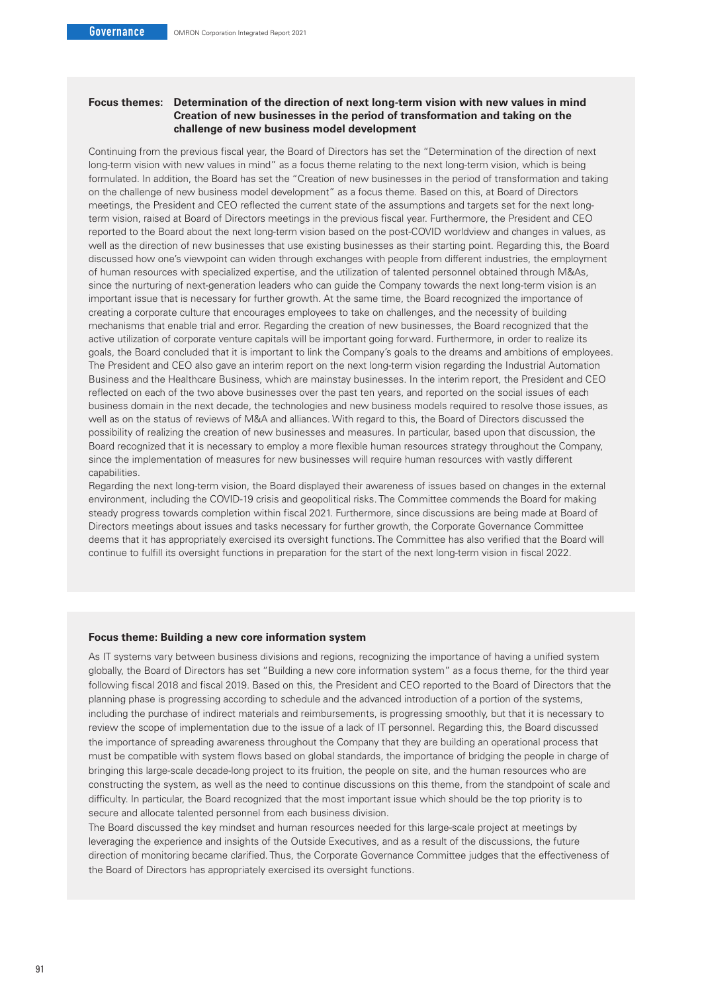## **Focus themes: Determination of the direction of next long-term vision with new values in mind Creation of new businesses in the period of transformation and taking on the challenge of new business model development**

Continuing from the previous fiscal year, the Board of Directors has set the "Determination of the direction of next long-term vision with new values in mind" as a focus theme relating to the next long-term vision, which is being formulated. In addition, the Board has set the "Creation of new businesses in the period of transformation and taking on the challenge of new business model development" as a focus theme. Based on this, at Board of Directors meetings, the President and CEO reflected the current state of the assumptions and targets set for the next longterm vision, raised at Board of Directors meetings in the previous fiscal year. Furthermore, the President and CEO reported to the Board about the next long-term vision based on the post-COVID worldview and changes in values, as well as the direction of new businesses that use existing businesses as their starting point. Regarding this, the Board discussed how one's viewpoint can widen through exchanges with people from different industries, the employment of human resources with specialized expertise, and the utilization of talented personnel obtained through M&As, since the nurturing of next-generation leaders who can guide the Company towards the next long-term vision is an important issue that is necessary for further growth. At the same time, the Board recognized the importance of creating a corporate culture that encourages employees to take on challenges, and the necessity of building mechanisms that enable trial and error. Regarding the creation of new businesses, the Board recognized that the active utilization of corporate venture capitals will be important going forward. Furthermore, in order to realize its goals, the Board concluded that it is important to link the Company's goals to the dreams and ambitions of employees. The President and CEO also gave an interim report on the next long-term vision regarding the Industrial Automation Business and the Healthcare Business, which are mainstay businesses. In the interim report, the President and CEO reflected on each of the two above businesses over the past ten years, and reported on the social issues of each business domain in the next decade, the technologies and new business models required to resolve those issues, as well as on the status of reviews of M&A and alliances. With regard to this, the Board of Directors discussed the possibility of realizing the creation of new businesses and measures. In particular, based upon that discussion, the Board recognized that it is necessary to employ a more flexible human resources strategy throughout the Company, since the implementation of measures for new businesses will require human resources with vastly different capabilities.

Regarding the next long-term vision, the Board displayed their awareness of issues based on changes in the external environment, including the COVID-19 crisis and geopolitical risks. The Committee commends the Board for making steady progress towards completion within fiscal 2021. Furthermore, since discussions are being made at Board of Directors meetings about issues and tasks necessary for further growth, the Corporate Governance Committee deems that it has appropriately exercised its oversight functions. The Committee has also verified that the Board will continue to fulfill its oversight functions in preparation for the start of the next long-term vision in fiscal 2022.

#### **Focus theme: Building a new core information system**

As IT systems vary between business divisions and regions, recognizing the importance of having a unified system globally, the Board of Directors has set "Building a new core information system" as a focus theme, for the third year following fiscal 2018 and fiscal 2019. Based on this, the President and CEO reported to the Board of Directors that the planning phase is progressing according to schedule and the advanced introduction of a portion of the systems, including the purchase of indirect materials and reimbursements, is progressing smoothly, but that it is necessary to review the scope of implementation due to the issue of a lack of IT personnel. Regarding this, the Board discussed the importance of spreading awareness throughout the Company that they are building an operational process that must be compatible with system flows based on global standards, the importance of bridging the people in charge of bringing this large-scale decade-long project to its fruition, the people on site, and the human resources who are constructing the system, as well as the need to continue discussions on this theme, from the standpoint of scale and difficulty. In particular, the Board recognized that the most important issue which should be the top priority is to secure and allocate talented personnel from each business division.

The Board discussed the key mindset and human resources needed for this large-scale project at meetings by leveraging the experience and insights of the Outside Executives, and as a result of the discussions, the future direction of monitoring became clarified. Thus, the Corporate Governance Committee judges that the effectiveness of the Board of Directors has appropriately exercised its oversight functions.